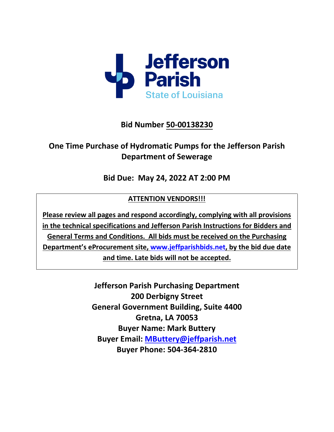

# **Bid Number 50-00138230**

# **One Time Purchase of Hydromatic Pumps for the Jefferson Parish Department of Sewerage**

**Bid Due: May 24, 2022 AT 2:00 PM** 

# **ATTENTION VENDORS!!!**

**Please review all pages and respond accordingly, complying with all provisions in the technical specifications and Jefferson Parish Instructions for Bidders and General Terms and Conditions. All bids must be received on the Purchasing Department's eProcurement site, [www.jeffparishbids.net,](http://www.jeffparishbids.net/) by the bid due date and time. Late bids will not be accepted.**

> **Jefferson Parish Purchasing Department 200 Derbigny Street General Government Building, Suite 4400 Gretna, LA 70053 Buyer Name: Mark Buttery Buyer Email: [MButtery@jeffparish.net](mailto:MButtery@jeffparish.net)  Buyer Phone: 504-364-2810**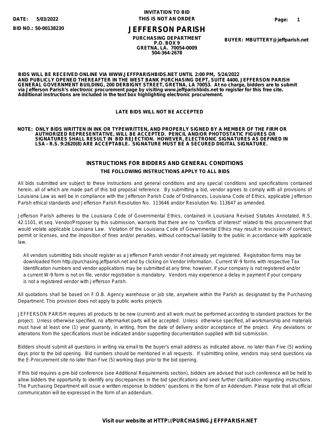**5/03/2022**

**BID NO.: 50-00138230**

#### **INVITATION TO BID DATE: THIS IS NOT AN ORDER**

## **JEFFERSON PARISH**

**PURCHASING DEPARTMENT P.O. BOX 9 GRETNA, LA. 70054-0009 504-364-2678**

**BUYER: MBUTTERY@jeffparish.net**

**BIDS WILL BE RECEIVED ONLINE VIA WWW.JEFFPARISHBIDS.NET UNTIL 2:00 PM, 5/24/2022 AND PUBLICLY OPENED THEREAFTER IN THE WEST BANK PURCHASING DEPT, SUITE 4400, JEFFERSON PARISH GENERAL GOVERNMENT BUILDING, 200 DERBIGNY STREET, GRETNA, LA 70053. At no charge, bidders are to submit via Jefferson Parish's electronic procurement page by visiting www.jeffparishbids.net to register for this free site. Additional instructions are included in the text box highlighting electronic procurement.**

#### **LATE BIDS WILL NOT BE ACCEPTED**

#### **NOTE: ONLY BIDS WRITTEN IN INK OR TYPEWRITTEN, AND PROPERLY SIGNED BY A MEMBER OF THE FIRM OR AUTHORIZED REPRESENTATIVE, WILL BE ACCEPTED. PENCIL AND/OR PHOTOSTATIC FIGURES OR SIGNATURES SHALL RESULT IN BID REJECTION. HOWEVER, ELECTRONIC SIGNATURES AS DEFINED IN LSA - R.S. 9:2620(8) ARE ACCEPTABLE. SIGNATURE MUST BE A SECURED DIGITAL SIGNATURE.**

#### **INSTRUCTIONS FOR BIDDERS AND GENERAL CONDITIONS THE FOLLOWING INSTRUCTIONS APPLY TO ALL BIDS**

All bids submitted are subject to these instructions and general conditions and any special conditions and specifications contained herein, all of which are made part of this bid proposal reference. By submitting a bid, vendor agrees to comply with all provisions of Louisiana Law as well be in compliance with the Jefferson Parish Code of Ordinances, Louisiana Code of Ethics, applicable Jefferson Parish ethical standards and Jefferson Parish Resolution No. 113646 and/or Resolution No. 113647 as amended.

Jefferson Parish adheres to the Louisiana Code of Governmental Ethics, contained in Louisiana Revised Statutes Annotated, R.S. 42:1101, et seq. Vendor/Proposer by this submission, warrants that there are no "conflicts of interest" related to this procurement that would violate applicable Louisiana Law. Violation of the Louisiana Code of Governmental Ethics may result in rescission of contract, permit or licenses, and the imposition of fines and/or penalties, without contractual liability to the public in accordance with applicable law.

 All vendors submitting bids should register as a Jefferson Parish vendor if not already yet registered. Registration forms may be downloaded from http://purchasing.jeffparish.net and by clicking on Vendor Information. Current W-9 forms with respective Tax Identification numbers and vendor applications may be submitted at any time; however, if your company is not registered and/or a current W-9 form is not on file, vendor registration is mandatory. Vendors may experience a delay in payment if your company is not a registered vendor with Jefferson Parish.

All quotations shall be based on F.O.B. Agency warehouse or job site, anywhere within the Parish as designated by the Purchasing Department. This provision does not apply to public works projects

JEFFERSON PARISH requires all products to be new (current) and all work must be performed according to standard practices for the project. Unless otherwise specified, no aftermarket parts will be accepted. Unless otherwise specified, all workmanship and materials must have at least one (1) year guaranty, in writing, from the date of delivery and/or acceptance of the project. Any deviations or alterations from the specifications must be indicated and/or supporting documentation supplied with bid submission.

Bidders should submit all questions in writing via email to the buyer's email address as indicated above, no later than Five (5) working days prior to the bid opening. Bid numbers should be mentioned in all requests. If submitting online, vendors may send questions via the E-Procurement site no later than Five (5) working days prior to the bid opening.

If this bid requires a pre-bid conference (see Additional Requirements section), bidders are advised that such conference will be held to allow bidders the opportunity to identify any discrepancies in the bid specifications and seek further clarification regarding instructions. The Purchasing Department will issue a written response to bidders' questions in the form of an Addendum. Please note that all official communication will be expressed in the form of an addendum.

#### **Visit our website at HTTP://PURCHASING.JEFFPARISH.NET**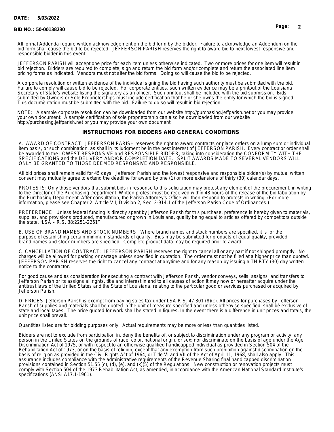#### **DATE: 5/03/2022**

#### **BID NO.: 50-00138230 Page: 2**

responsible bidder in this event.

All formal Addenda require written acknowledgement on the bid form by the bidder. Failure to acknowledge an Addendum on the bid form shall cause the bid to be rejected. JEFFERSON PARISH reserves the right to award bid to next lowest responsive and

JEFFERSON PARISH will accept one price for each item unless otherwise indicated. Two or more prices for one item will result in bid rejection. Bidders are required to complete, sign and return the bid form and/or complete and return the associated line item pricing forms as indicated. Vendors must not alter the bid forms. Doing so will cause the bid to be rejected.

A corporate resolution or written evidence of the individual signing the bid having such authority must be submitted with the bid. Failure to comply will cause bid to be rejected. For corporate entities, such written evidence may be a printout of the Louisiana Secretary of State's website listing the signatory as an officer. Such printout shall be included with the bid submission. Bids submitted by Owners or Sole Proprietorships must include certification that he or she owns the entity for which the bid is signed. This documentation must be submitted with the bid. Failure to do so will result in bid rejection.

NOTE: A sample corporate resolution can be downloaded from our website http://purchasing.jeffparish.net or you may provide your own document. A sample certification of sole proprietorship can also be downloaded from our website http://purchasing.jeffparish.net or you may provide your own document.

#### **INSTRUCTIONS FOR BIDDERS AND GENERAL CONDITIONS**

A. AWARD OF CONTRACT: JEFFERSON PARISH reserves the right to award contracts or place orders on a lump sum or individual item basis, or such combination, as shall in its judgment be in the best interest of JEFFERSON PARISH. Every contract or order shall be awarded to the LOWEST RESPONSIVE and RESPONSIBLE BIDDER, taking into consideration the CONFORMITY WITH THE SPECIFICATIONS and the DELIVERY AND/OR COMPLETION DATE. SPLIT AWARDS MADE TO SEVERAL VENDORS WILL ONLY BE GRANTED TO THOSE DEEMED RESPONSIVE AND RESPONSIBLE.

All bid prices shall remain valid for 45 days. Jefferson Parish and the lowest responsive and responsible bidder(s) by mutual written consent may mutually agree to extend the deadline for award by one (1) or more extensions of thirty (30) calendar days.

PROTESTS: Only those vendors that submit bids in response to this solicitation may protest any element of the procurement, in writing to the Director of the Purchasing Department. Written protest must be received within 48 hours of the release of the bid tabulation by the Purchasing Department. After consultation, the Parish Attorney's Office will then respond to protests in writing. (For more information, please see Chapter 2, Article VII, Division 2, Sec. 2-914.1 of the Jefferson Parish Code of Ordinances.)

PREFERENCE: Unless federal funding is directly spent by Jefferson Parish for this purchase, preference is hereby given to materials, supplies, and provisions produced, manufactured or grown in Louisiana, quality being equal to articles offered by competitors outside the state. "LSA – R.S. 38:2251-2261"

B. USE OF BRAND NAMES AND STOCK NUMBERS: Where brand names and stock numbers are specified, it is for the purpose of establishing certain minimum standards of quality. Bids may be submitted for products of equal quality, provided brand names and stock numbers are specified. Complete product data may be required prior to award.

C. CANCELLATION OF CONTRACT: JEFFERSON PARISH reserves the right to cancel all or any part if not shipped promptly. No charges will be allowed for parking or cartage unless specified in quotation. The order must not be filled at a higher price than quoted. JEFFERSON PARISH reserves the right to cancel any contract at anytime and for any reason by issuing a THIRTY (30) day written notice to the contractor.

For good cause and as consideration for executing a contract with Jefferson Parish, vendor conveys, sells, assigns and transfers to Jefferson Parish or its assigns all rights, title and interest in and to all causes of action it may now or hereafter acquire under the antitrust laws of the United States and the State of Louisiana, relating to the particular good or services purchased or acquired by Jefferson Parish.

D. PRICES: Jefferson Parish is exempt from paying sales tax under LSA-R.S. 47:301 (8)(c). All prices for purchases by Jefferson Parish of supplies and materials shall be quoted in the unit of measure specified and unless otherwise specified, shall be exclusive of state and local taxes. The price quoted for work shall be stated in figures. In the event there is a difference in unit prices and totals, the unit price shall prevail.

Quantities listed are for bidding purposes only. Actual requirements may be more or less than quantities listed.

Bidders are not to exclude from participation in, deny the benefits of, or subject to discrimination under any program or activity, any person in the United States on the grounds of race, color, national origin, or sex; nor discriminate on the basis of age under the Age Discrimination Act of 1975, or with respect to an otherwise qualified handicapped individual as provided in Section 504 of the Rehabilitation Act of 1973, or on the basis of religion, except that any exemption from such prohibition against discrimination on the basis of religion as provided in the Civil Rights Act of 1964, or Title VI and VII of the Act of April 11, 1968, shall also apply. This assurance includes compliance with the administrative requirements of the Revenue Sharing final handicapped discrimination provisions contained in Section 51.55 (c), (d), (e), and (k)(5) of the Regulations. New construction or renovation projects must comply with Section 504 of the 1973 Rehabilitation Act, as amended, in accordance with the American National Standard Institute's specifications (ANSI A17.1-1961).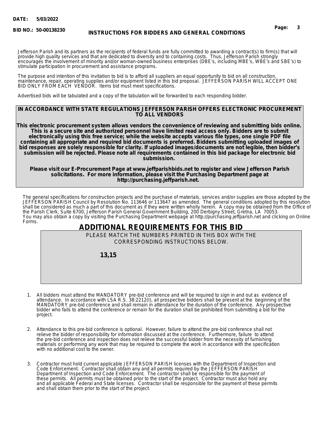**BID NO.:**

# **50-00138230 Page: 3 INSTRUCTIONS FOR BIDDERS AND GENERAL CONDITIONS**

Jefferson Parish and its partners as the recipients of federal funds are fully committed to awarding a contract(s) to firm(s) that will provide high quality services and that are dedicated to diversity and to containing costs. Thus, Jefferson Parish strongly encourages the involvement of minority and/or woman-owned business enterprises (DBE's, including MBE's, WBE's and SBE's) to stimulate participation in procurement and assistance programs.

The purpose and intention of this invitation to bid is to afford all suppliers an equal opportunity to bid on all construction, maintenance, repair, operating supplies and/or equipment listed in this bid proposal. JEFFERSON PARISH WILL ACCEPT ONE BID ONLY FROM EACH VENDOR. Items bid must meet specifications.

Advertised bids will be tabulated and a copy of the tabulation will be forwarded to each responding bidder.

#### **IN ACCORDANCE WITH STATE REGULATIONS JEFFERSON PARISH OFFERS ELECTRONIC PROCUREMENT TO ALL VENDORS**

**This electronic procurement system allows vendors the convenience of reviewing and submitting bids online. This is a secure site and authorized personnel have limited read access only. Bidders are to submit electronically using this free service; while the website accepts various file types, one single PDF file containing all appropriate and required bid documents is preferred. Bidders submitting uploaded images of bid responses are solely responsible for clarity. If uploaded images/documents are not legible, then bidder's submission will be rejected. Please note all requirements contained in this bid package for electronic bid submission.** 

**Please visit our E-Procurement Page at www.jeffparishbids.net to register and view Jefferson Parish solicitations. For more information, please visit the Purchasing Department page at http://purchasing.jeffparish.net.** 

The general specifications for construction projects and the purchase of materials, services and/or supplies are those adopted by the JEFFERSON PARISH Council by Resolution No. 113646 or 113647 as amended. The general conditions adopted by this resolution shall be considered as much a part of this document as if they were written wholly herein. A copy may be obtained from the Office of the Parish Clerk, Suite 6700, Jefferson Parish General Government Building, 200 Derbigny Street, Gretna, LA 70053. You may also obtain a copy by visiting the Purchasing Department webpage at http://purchasing.jeffparish.net and clicking on Online Forms.

## **ADDITIONAL REQUIREMENTS FOR THIS BID**

PLEASE MATCH THE NUMBERS PRINTED IN THIS BOX WITH THE CORRESPONDING INSTRUCTIONS BELOW.

 **13,15**

- 1. All bidders must attend the MANDATORY pre-bid conference and will be required to sign in and out as evidence of attendance. In accordance with LSA R.S. 38:2212(I), all prospective bidders shall be present at the beginning of the MANDATORY pre-bid conference and shall remain in attendance for the duration of the conference. Any prospective bidder who fails to attend the conference or remain for the duration shall be prohibited from submitting a bid for the project.
- 2. Attendance to this pre-bid conference is optional. However, failure to attend the pre-bid conference shall not relieve the bidder of responsibility for information discussed at the conference. Furthermore, failure to attend the pre-bid conference and inspection does not relieve the successful bidder from the necessity of furnishing materials or performing any work that may be required to complete the work in accordance with the specification with no additional cost to the owner.
- 3. Contractor must hold current applicable JEFFERSON PARISH licenses with the Department of Inspection and Code Enforcement. Contractor shall obtain any and all permits required by the JEFFERSON PARISH Department of Inspection and Code Enforcement. The contractor shall be responsible for the payment of these permits. All permits must be obtained prior to the start of the project. Contractor must also hold any and all applicable Federal and State licenses. Contractor shall be responsible for the payment of these permits and shall obtain them prior to the start of the project.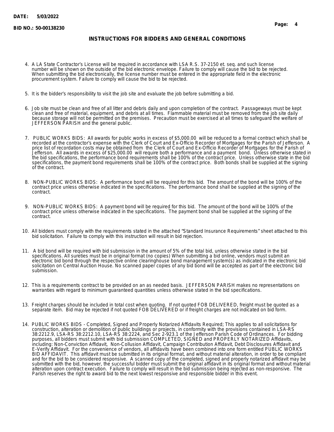#### **INSTRUCTIONS FOR BIDDERS AND GENERAL CONDITIONS**

- 4. A LA State Contractor's License will be required in accordance with LSA R.S. 37-2150 et. seq. and such license number will be shown on the outside of the bid electronic envelope. Failure to comply will cause the bid to be rejected. When submitting the bid electronically, the license number must be entered in the appropriate field in the electronic procurement system. Failure to comply will cause the bid to be rejected.
- 5. It is the bidder's responsibility to visit the job site and evaluate the job before submitting a bid.
- 6. Job site must be clean and free of all litter and debris daily and upon completion of the contract. Passageways must be kept clean and free of material, equipment, and debris at all times. Flammable material must be removed from the job site daily because storage will not be permitted on the premises. Precaution must be exercised at all times to safeguard the welfare of JEFFERSON PARISH and the general public.
- 7. PUBLIC WORKS BIDS: All awards for public works in excess of \$5,000.00 will be reduced to a formal contract which shall be recorded at the contractor's expense with the Clerk of Court and Ex-Officio Recorder of Mortgages for the Parish of Jefferson. A price list of recordation costs may be obtained from the Clerk of Court and Ex-Officio Recorder of Mortgages for the Parish of Jefferson. All awards in excess of \$25,000.00 will require both a performance and a payment bond. Unless otherwise stated in the bid specifications, the performance bond requirements shall be 100% of the contract price. Unless otherwise state in the bid specifications, the payment bond requirements shall be 100% of the contract price. Both bonds shall be supplied at the signing of the contract.
- 8. NON-PUBLIC WORKS BIDS: A performance bond will be required for this bid. The amount of the bond will be 100% of the contract price unless otherwise indicated in the specifications. The performance bond shall be supplied at the signing of the contract.
- 9. NON-PUBLIC WORKS BIDS: A payment bond will be required for this bid. The amount of the bond will be 100% of the contract price unless otherwise indicated in the specifications. The payment bond shall be supplied at the signing of the contract.
- 10. All bidders must comply with the requirements stated in the attached "Standard Insurance Requirements" sheet attached to this bid solicitation. Failure to comply with this instruction will result in bid rejection.
- 11. A bid bond will be required with bid submission in the amount of 5% of the total bid, unless otherwise stated in the bid specifications. All sureties must be in original format (no copies) When submitting a bid online, vendors must submit an electronic bid bond through the respective online clearinghouse bond management system(s) as indicated in the electronic bid solicitation on Central Auction House. No scanned paper copies of any bid bond will be accepted as part of the electronic bid submission.
- 12. This is a requirements contract to be provided on an as needed basis. JEFFERSON PARISH makes no representations on warranties with regard to minimum guaranteed quantities unless otherwise stated in the bid specifications.
- 13. Freight charges should be included in total cost when quoting. If not quoted FOB DELIVERED, freight must be quoted as a separate item. Bid may be rejected if not quoted FOB DELIVERED or if freight charges are not indicated on bid form.
- 14. PUBLIC WORKS BIDS Completed, Signed and Properly Notarized Affidavits Required; This applies to all solicitations for construction, alteration or demolition of public buildings or projects, in conformity with the provisions contained in LSA-RS 38:2212.9, LSA-RS 38:2212.10, LSA-RS 38:2224, and Sec 2-923.1 of the Jefferson Parish Code of Ordinances. For bidding purposes, all bidders must submit with bid submission COMPLETED, SIGNED and PROPERLY NOTARIZED Affidavits, including: Non-Conviction Affidavit, Non-Collusion Affidavit, Campaign Contribution Affidavit, Debt Disclosures Affidavit and E-Verify Affidavit. For the convenience of vendors, all affidavits have been combined into one form entitled PUBLIC WORKS BID AFFIDAVIT. This affidavit must be submitted in its original format, and without material alteration, in order to be compliant and for the bid to be considered responsive. A scanned copy of the completed, signed and properly notarized affidavit may be submitted with the bid, however, the successful bidder must submit the original affidavit in its original format and without material alteration upon contract execution. Failure to comply will result in the bid submission being rejected as non-responsive. The Parish reserves the right to award bid to the next lowest responsive and responsible bidder in this event.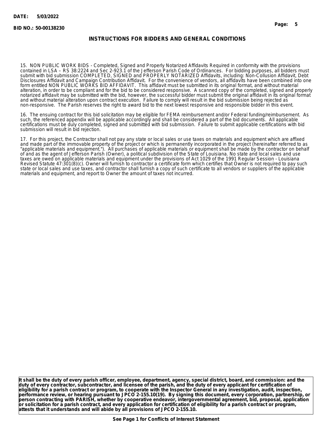#### **INSTRUCTIONS FOR BIDDERS AND GENERAL CONDITIONS**

15. NON PUBLIC WORK BIDS - Completed, Signed and Properly Notarized Affidavits Required in conformity with the provisions contained in LSA – RS 38:2224 and Sec 2-923.1 of the Jefferson Parish Code of Ordinances. For bidding purposes, all bidders must submit with bid submission COMPLETED, SIGNED and PROPERLY NOTARIZED Affidavits, including: Non-Collusion Affidavit, Debt Disclosures Affidavit and Campaign Contribution Affidavit. For the convenience of vendors, all affidavits have been combined into one form entitled NON PUBLIC WORKS BID AFFIDAVIT. This affidavit must be submitted in its original format, and without material alteration, in order to be compliant and for the bid to be considered responsive. A scanned copy of the completed, signed and properly notarized affidavit may be submitted with the bid, however, the successful bidder must submit the original affidavit in its original format and without material alteration upon contract execution. Failure to comply will result in the bid submission being rejected as non-responsive. The Parish reserves the right to award bid to the next lowest responsive and responsible bidder in this event.

16. The ensuing contract for this bid solicitation may be eligible for FEMA reimbursement and/or Federal funding/reimbursement. As such, the referenced appendix will be applicable accordingly and shall be considered a part of the bid documents. All applicable certifications must be duly completed, signed and submitted with bid submission. Failure to submit applicable certifications with bid submission will result in bid rejection.

17. For this project, the Contractor shall not pay any state or local sales or use taxes on materials and equipment which are affixed and made part of the immovable property of the project or which is permanently incorporated in the project (hereinafter referred to as "applicable materials and equipment."). All purchases of applicable materials or equipment shall be made by the contractor on behalf of and as the agent of Jefferson Parish (Owner), a political subdivision of the State of Louisiana. No state and local sales and use taxes are owed on applicable materials and equipment under the provisions of Act 1029 of the 1991 Regular Session - Louisiana Revised Statute 47:301(8)(c). Owner will furnish to contractor a certificate form which certifies that Owner is not required to pay such state or local sales and use taxes, and contractor shall furnish a copy of such certificate to all vendors or suppliers of the applicable materials and equipment, and report to Owner the amount of taxes not incurred.

**It shall be the duty of every parish officer, employee, department, agency, special district, board, and commission: and the duty of every contractor, subcontractor, and licensee of the parish, and the duty of every applicant for certification of eligibility for a parish contract or program, to cooperate with the Inspector General in any investigation, audit, inspection, performance review, or hearing pursuant to JPCO 2-155.10(19). By signing this document, every corporation, partnership, or person contracting with PARISH, whether by cooperative endeavor, intergovernmental agreement, bid, proposal, application or solicitation for a parish contract, and every application for certification of eligibility for a parish contract or program, attests that it understands and will abide by all provisions of JPCO 2-155.10.**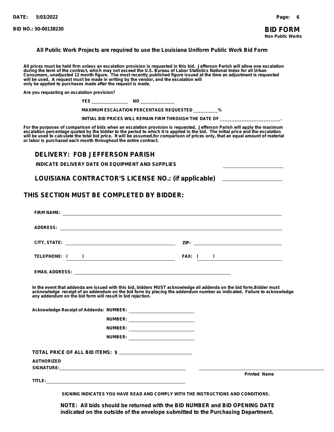#### **All Public Work Projects are required to use the Louisiana Uniform Public Work Bid Form**

All prices must be held firm unless an escalation provision is requested in this bid. Jefferson Parish will allow one escalation<br>during the term of the contract, which may not exceed the U.S. Bureau of Labor Statistics Na **only be applied to purchases made after the request is made.**

**Are you requesting an escalation provision?**

|  | N |
|--|---|
|--|---|

 **MAXIMUM ESCALATION PERCENTAGE REQUESTED \_\_\_\_\_\_\_\_\_\_%**

INITIAL BID PRICES WILL REMAIN FIRM THROUGH THE DATE OF

For the purposes of comparison of bids when an escalation provision is requested, Jefferson Parish will apply the maximum<br>escalation percentage quoted by the bidder to the period to which it is applied in the bid. The in will be used to calculate the total bid price. It will be assumed,for comparison of prices only, that an equal amount of material<br>or labor is purchased each month throughout the entire contract.

#### **DELIVERY: FOB JEFFERSON PARISH**

**INDICATE DELIVERY DATE ON EQUIPMENT AND SUPPLIES**

**LOUISIANA CONTRACTOR'S LICENSE NO.: (if applicable)**

#### **THIS SECTION MUST BE COMPLETED BY BIDDER:**

| TELEPHONE: ( )                                                                                                                                                                                                                                                                                               |                                      | FAX: $($ $)$        |
|--------------------------------------------------------------------------------------------------------------------------------------------------------------------------------------------------------------------------------------------------------------------------------------------------------------|--------------------------------------|---------------------|
|                                                                                                                                                                                                                                                                                                              |                                      |                     |
| In the event that addenda are issued with this bid, bidders MUST acknowledge all addenda on the bid form.Bidder must<br>acknowledge receipt of an addendum on the bid form by placing the addendum number as indicated. Failure to acknowledge<br>any addendum on the bid form will result in bid rejection. |                                      |                     |
|                                                                                                                                                                                                                                                                                                              | NUMBER: ____________________________ |                     |
|                                                                                                                                                                                                                                                                                                              | NUMBER: __________________________   |                     |
|                                                                                                                                                                                                                                                                                                              | NUMBER: ____________________________ |                     |
| TOTAL PRICE OF ALL BID ITEMS: \$ ______________________________                                                                                                                                                                                                                                              |                                      |                     |
| <b>AUTHORIZED</b>                                                                                                                                                                                                                                                                                            |                                      |                     |
|                                                                                                                                                                                                                                                                                                              |                                      | <b>Printed Name</b> |

**SIGNING INDICATES YOU HAVE READ AND COMPLY WITH THE INSTRUCTIONS AND CONDITIONS.**

**NOTE: All bids should be returned with the BID NUMBER and BID OPENING DATE indicated on the outside of the envelope submitted to the Purchasing Department.**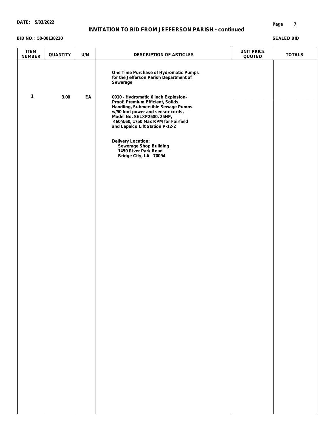#### **DATE: 5/03/2022**

#### **INVITATION TO BID FROM JEFFERSON PARISH - continued**

#### **BID NO.: 50-00138230**

#### **SEALED BID**

| <b>ITEM</b><br><b>NUMBER</b> | QUANTITY | U/M | <b>DESCRIPTION OF ARTICLES</b>                                                                                                                                                                                       | <b>UNIT PRICE</b><br>QUOTED | <b>TOTALS</b> |
|------------------------------|----------|-----|----------------------------------------------------------------------------------------------------------------------------------------------------------------------------------------------------------------------|-----------------------------|---------------|
| $\mathbf{1}$                 | 3.00     | EA  | One Time Purchase of Hydromatic Pumps<br>for the Jefferson Parish Department of<br>Sewerage<br>0010 - Hydromatic 6 inch Explosion-                                                                                   |                             |               |
|                              |          |     | Proof, Premium Efficient, Solids<br>Handling, Submersible Sewage Pumps<br>w/50 foot power and sensor cords,<br>Model No. S6LXP2500, 25HP,<br>460/3/60, 1750 Max RPM for Fairfield<br>and Lapalco Lift Station P-12-2 |                             |               |
|                              |          |     | <b>Delivery Location:</b><br><b>Sewerage Shop Building</b><br>1450 River Park Road<br>Bridge City, LA 70094                                                                                                          |                             |               |
|                              |          |     |                                                                                                                                                                                                                      |                             |               |
|                              |          |     |                                                                                                                                                                                                                      |                             |               |
|                              |          |     |                                                                                                                                                                                                                      |                             |               |
|                              |          |     |                                                                                                                                                                                                                      |                             |               |
|                              |          |     |                                                                                                                                                                                                                      |                             |               |
|                              |          |     |                                                                                                                                                                                                                      |                             |               |
|                              |          |     |                                                                                                                                                                                                                      |                             |               |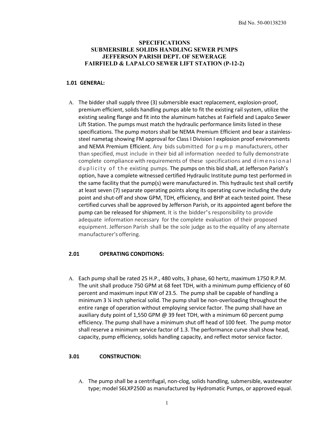#### **SPECIFICATIONS SUBMERSIBLE SOLIDS HANDLING SEWER PUMPS JEFFERSON PARISH DEPT. OF SEWERAGE FAIRFIELD & LAPALCO SEWER LIFT STATION (P-12-2)**

#### **1.01 GENERAL:**

A. The bidder shall supply three (3) submersible exact replacement, explosion-proof, premium efficient, solids handling pumps able to fit the existing rail system, utilize the existing sealing flange and fit into the aluminum hatches at Fairfield and Lapalco Sewer Lift Station. The pumps must match the hydraulic performance limits listed in these specifications. The pump motors shall be NEMA Premium Efficient and bear a stainlesssteel nametag showing FM approval for Class I Division I explosion proof environments and NEMA Premium Efficient. Any bids submitted for pump manufacturers, other than specified, must include in their bid all information needed to fully demonstrate complete compliancewith requirements of these specifications and dimensional duplicity of the existing pumps. The pumps on this bid shall, at Jefferson Parish's option, have a complete witnessed certified Hydraulic Institute pump test performed in the same facility that the pump(s) were manufactured in. This hydraulic test shall certify at least seven (7) separate operating points along its operating curve including the duty point and shut-off and show GPM, TDH, efficiency, and BHP at each tested point. These certified curves shall be approved by Jefferson Parish, or its appointed agent before the pump can be released for shipment. It is the bidder's responsibility to provide adequate information necessary for the complete evaluation of their proposed equipment. Jefferson Parish shall be the sole judge as to the equality of any alternate manufacturer's offering.

#### **2.01 OPERATING CONDITIONS:**

A. Each pump shall be rated 25 H.P., 480 volts, 3 phase, 60 hertz, maximum 1750 R.P.M. The unit shall produce 750 GPM at 68 feet TDH, with a minimum pump efficiency of 60 percent and maximum input KW of 23.5. The pump shall be capable of handling a minimum 3 ¼ inch spherical solid. The pump shall be non-overloading throughout the entire range of operation without employing service factor. The pump shall have an auxiliary duty point of 1,550 GPM @ 39 feet TDH, with a minimum 60 percent pump efficiency. The pump shall have a minimum shut off head of 100 feet. The pump motor shall reserve a minimum service factor of 1.3. The performance curve shall show head, capacity, pump efficiency, solids handling capacity, and reflect motor service factor.

#### **3.01 CONSTRUCTION:**

A. The pump shall be a centrifugal, non-clog, solids handling, submersible, wastewater type; model S6LXP2500 as manufactured by Hydromatic Pumps, or approved equal.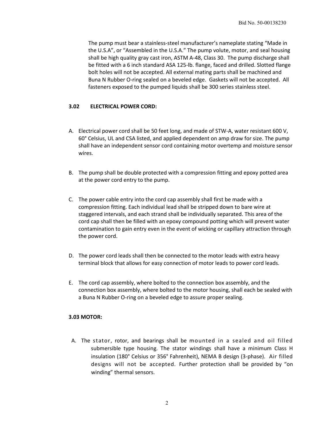The pump must bear a stainless-steel manufacturer's nameplate stating "Made in the U.S.A", or "Assembled in the U.S.A." The pump volute, motor, and seal housing shall be high quality gray cast iron, ASTM A-48, Class 30. The pump discharge shall be fitted with a 6 inch standard ASA 125-lb. flange, faced and drilled. Slotted flange bolt holes will not be accepted. All external mating parts shall be machined and Buna N Rubber O-ring sealed on a beveled edge. Gaskets will not be accepted. All fasteners exposed to the pumped liquids shall be 300 series stainless steel.

#### **3.02 ELECTRICAL POWER CORD:**

- A. Electrical power cord shall be 50 feet long, and made of STW-A, water resistant 600 V, 60° Celsius, UL and CSA listed, and applied dependent on amp draw for size. The pump shall have an independent sensor cord containing motor overtemp and moisture sensor wires.
- B. The pump shall be double protected with a compression fitting and epoxy potted area at the power cord entry to the pump.
- C. The power cable entry into the cord cap assembly shall first be made with a compression fitting. Each individual lead shall be stripped down to bare wire at staggered intervals, and each strand shall be individually separated. This area of the cord cap shall then be filled with an epoxy compound potting which will prevent water contamination to gain entry even in the event of wicking or capillary attraction through the power cord.
- D. The power cord leads shall then be connected to the motor leads with extra heavy terminal block that allows for easy connection of motor leads to power cord leads.
- E. The cord cap assembly, where bolted to the connection box assembly, and the connection box assembly, where bolted to the motor housing, shall each be sealed with a Buna N Rubber O-ring on a beveled edge to assure proper sealing.

#### **3.03 MOTOR:**

A. The stator, rotor, and bearings shall be mounted in a sealed and oil filled submersible type housing. The stator windings shall have a minimum Class H insulation (180° Celsius or 356° Fahrenheit), NEMA B design (3-phase). Air filled designs will not be accepted. Further protection shall be provided by "on winding" thermal sensors.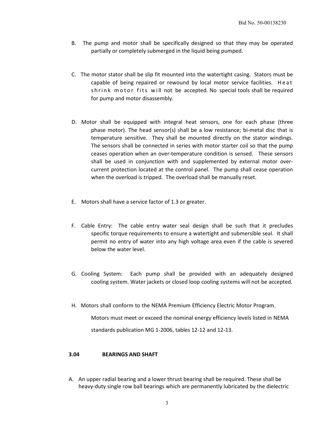- B. The pump and motor shall be specifically designed so that they may be operated partially or completely submerged in the liquid being pumped.
- C. The motor stator shall be slip fit mounted into the watertight casing. Stators must be capable of being repaired or rewound by local motor service facilities. Heat shrink motor fits will not be accepted. No special tools shall be required for pump and motor disassembly.
- D. Motor shall be equipped with integral heat sensors, one for each phase (three phase motor). The head sensor(s) shall be a low resistance; bi-metal disc that is temperature sensitive. They shall be mounted directly on the stator windings. The sensors shall be connected in series with motor starter coil so that the pump ceases operation when an over-temperature condition is sensed. These sensors shall be used in conjunction with and supplemented by external motor overcurrent protection located at the control panel. The pump shall cease operation when the overload is tripped. The overload shall be manually reset.
- E. Motors shall have a service factor of 1.3 or greater.
- F. Cable Entry: The cable entry water seal design shall be such that it precludes specific torque requirements to ensure a watertight and submersible seal. It shall permit no entry of water into any high voltage area even if the cable is severed below the water level.
- G. Cooling System: Each pump shall be provided with an adequately designed cooling system. Water jackets or closed loop cooling systems will not be accepted.
- H. Motors shall conform to the NEMA Premium Efficiency Electric Motor Program.

Motors must meet or exceed the nominal energy efficiency levels listed in NEMA standards publication MG 1-2006, tables 12-12 and 12-13.

#### **3.04 BEARINGS AND SHAFT**

A. An upper radial bearing and a lower thrust bearing shall be required. These shall be heavy-duty single row ball bearings which are permanently lubricated by the dielectric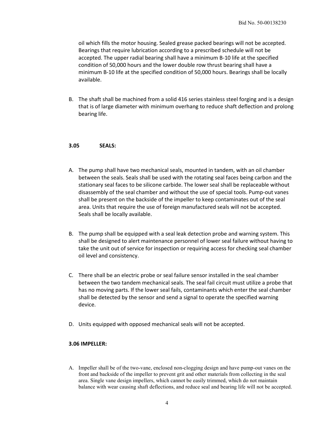oil which fills the motor housing. Sealed grease packed bearings will not be accepted. Bearings that require lubrication according to a prescribed schedule will not be accepted. The upper radial bearing shall have a minimum B-10 life at the specified condition of 50,000 hours and the lower double row thrust bearing shall have a minimum B-10 life at the specified condition of 50,000 hours. Bearings shall be locally available.

B. The shaft shall be machined from a solid 416 series stainless steel forging and is a design that is of large diameter with minimum overhang to reduce shaft deflection and prolong bearing life.

#### **3.05 SEALS:**

- A. The pump shall have two mechanical seals, mounted in tandem, with an oil chamber between the seals. Seals shall be used with the rotating seal faces being carbon and the stationary seal faces to be silicone carbide. The lower seal shall be replaceable without disassembly of the seal chamber and without the use of special tools. Pump-out vanes shall be present on the backside of the impeller to keep contaminates out of the seal area. Units that require the use of foreign manufactured seals will not be accepted. Seals shall be locally available.
- B. The pump shall be equipped with a seal leak detection probe and warning system. This shall be designed to alert maintenance personnel of lower seal failure without having to take the unit out of service for inspection or requiring access for checking seal chamber oil level and consistency.
- C. There shall be an electric probe or seal failure sensor installed in the seal chamber between the two tandem mechanical seals. The seal fail circuit must utilize a probe that has no moving parts. If the lower seal fails, contaminants which enter the seal chamber shall be detected by the sensor and send a signal to operate the specified warning device.
- D. Units equipped with opposed mechanical seals will not be accepted.

#### **3.06 IMPELLER:**

A. Impeller shall be of the two-vane, enclosed non-clogging design and have pump-out vanes on the front and backside of the impeller to prevent grit and other materials from collecting in the seal area. Single vane design impellers, which cannot be easily trimmed, which do not maintain balance with wear causing shaft deflections, and reduce seal and bearing life will not be accepted.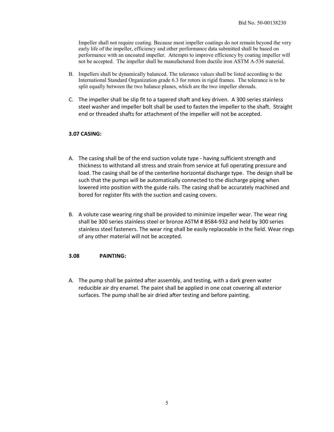Impeller shall not require coating. Because most impeller coatings do not remain beyond the very early life of the impeller, efficiency and other performance data submitted shall be based on performance with an uncoated impeller. Attempts to improve efficiency by coating impeller will not be accepted. The impeller shall be manufactured from ductile iron ASTM A-536 material.

- B. Impellers shall be dynamically balanced. The tolerance values shall be listed according to the International Standard Organization grade 6.3 for rotors in rigid frames. The tolerance is to be split equally between the two balance planes, which are the two impeller shrouds.
- C. The impeller shall be slip fit to a tapered shaft and key driven. A 300 series stainless steel washer and impeller bolt shall be used to fasten the impeller to the shaft. Straight end or threaded shafts for attachment of the impeller will not be accepted.

#### **3.07 CASING:**

- A. The casing shall be of the end suction volute type having sufficient strength and thickness to withstand all stress and strain from service at full operating pressure and load. The casing shall be of the centerline horizontal discharge type. The design shall be such that the pumps will be automatically connected to the discharge piping when lowered into position with the guide rails. The casing shall be accurately machined and bored for register fits with the suction and casing covers.
- B. A volute case wearing ring shall be provided to minimize impeller wear. The wear ring shall be 300 series stainless steel or bronze ASTM # B584-932 and held by 300 series stainless steel fasteners. The wear ring shall be easily replaceable in the field. Wear rings of any other material will not be accepted.

#### **3.08 PAINTING:**

A. The pump shall be painted after assembly, and testing, with a dark green water reducible air dry enamel. The paint shall be applied in one coat covering all exterior surfaces. The pump shall be air dried after testing and before painting.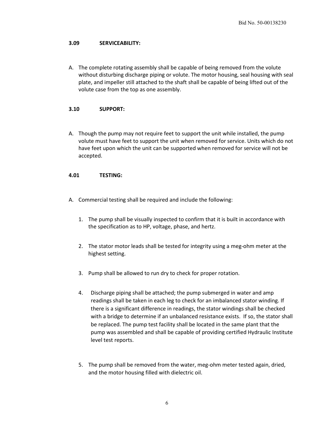#### **3.09 SERVICEABILITY:**

A. The complete rotating assembly shall be capable of being removed from the volute without disturbing discharge piping or volute. The motor housing, seal housing with seal plate, and impeller still attached to the shaft shall be capable of being lifted out of the volute case from the top as one assembly.

#### **3.10 SUPPORT:**

A. Though the pump may not require feet to support the unit while installed, the pump volute must have feet to support the unit when removed for service. Units which do not have feet upon which the unit can be supported when removed for service will not be accepted.

#### **4.01 TESTING:**

- A. Commercial testing shall be required and include the following:
	- 1. The pump shall be visually inspected to confirm that it is built in accordance with the specification as to HP, voltage, phase, and hertz.
	- 2. The stator motor leads shall be tested for integrity using a meg-ohm meter at the highest setting.
	- 3. Pump shall be allowed to run dry to check for proper rotation.
	- 4. Discharge piping shall be attached; the pump submerged in water and amp readings shall be taken in each leg to check for an imbalanced stator winding. If there is a significant difference in readings, the stator windings shall be checked with a bridge to determine if an unbalanced resistance exists. If so, the stator shall be replaced. The pump test facility shall be located in the same plant that the pump was assembled and shall be capable of providing certified Hydraulic Institute level test reports.
	- 5. The pump shall be removed from the water, meg-ohm meter tested again, dried, and the motor housing filled with dielectric oil.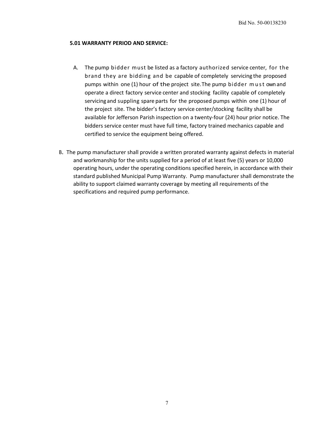#### **5.01 WARRANTY PERIOD AND SERVICE:**

- A. The pump bidder must be listed as a factory authorized service center, for the brand they are bidding and be capable of completely servicing the proposed pumps within one (1) hour of the project site.The pump bidder must own and operate a direct factory service center and stocking facility capable of completely servicing and suppling spare parts for the proposed pumps within one (1) hour of the project site. The bidder's factory service center/stocking facility shall be available for Jefferson Parish inspection on a twenty-four (24) hour prior notice. The bidders service center must have full time, factory trained mechanics capable and certified to service the equipment being offered.
- B. The pump manufacturer shall provide a written prorated warranty against defects in material and workmanship for the units supplied for a period of at least five (5) years or 10,000 operating hours, under the operating conditions specified herein, in accordance with their standard published Municipal Pump Warranty. Pump manufacturer shall demonstrate the ability to support claimed warranty coverage by meeting all requirements of the specifications and required pump performance.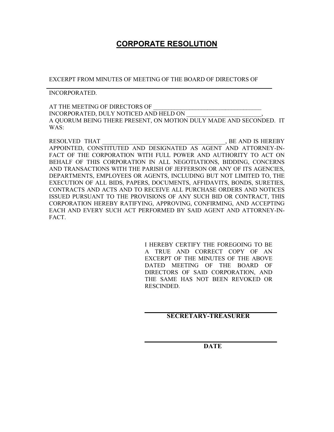# **CORPORATE RESOLUTION**

EXCERPT FROM MINUTES OF MEETING OF THE BOARD OF DIRECTORS OF

INCORPORATED.

AT THE MEETING OF DIRECTORS OF INCORPORATED, DULY NOTICED AND HELD ON \_\_\_\_\_\_\_\_\_\_\_\_\_\_\_\_\_\_\_\_\_\_\_\_\_, A QUORUM BEING THERE PRESENT, ON MOTION DULY MADE AND SECONDED. IT WAS:

RESOLVED THAT \_\_\_\_\_\_\_\_\_\_\_\_\_\_\_\_\_\_\_\_\_\_\_\_\_\_\_\_\_\_\_\_\_\_\_\_\_\_\_\_\_, BE AND IS HEREBY APPOINTED, CONSTITUTED AND DESIGNATED AS AGENT AND ATTORNEY-IN-FACT OF THE CORPORATION WITH FULL POWER AND AUTHORITY TO ACT ON BEHALF OF THIS CORPORATION IN ALL NEGOTIATIONS, BIDDING, CONCERNS AND TRANSACTIONS WITH THE PARISH OF JEFFERSON OR ANY OF ITS AGENCIES, DEPARTMENTS, EMPLOYEES OR AGENTS, INCLUDING BUT NOT LIMITED TO, THE EXECUTION OF ALL BIDS, PAPERS, DOCUMENTS, AFFIDAVITS, BONDS, SURETIES, CONTRACTS AND ACTS AND TO RECEIVE ALL PURCHASE ORDERS AND NOTICES ISSUED PURSUANT TO THE PROVISIONS OF ANY SUCH BID OR CONTRACT, THIS CORPORATION HEREBY RATIFYING, APPROVING, CONFIRMING, AND ACCEPTING EACH AND EVERY SUCH ACT PERFORMED BY SAID AGENT AND ATTORNEY-IN-FACT.

> I HEREBY CERTIFY THE FOREGOING TO BE A TRUE AND CORRECT COPY OF AN EXCERPT OF THE MINUTES OF THE ABOVE DATED MEETING OF THE BOARD OF DIRECTORS OF SAID CORPORATION, AND THE SAME HAS NOT BEEN REVOKED OR RESCINDED.

## **SECRETARY-TREASURER**

**DATE**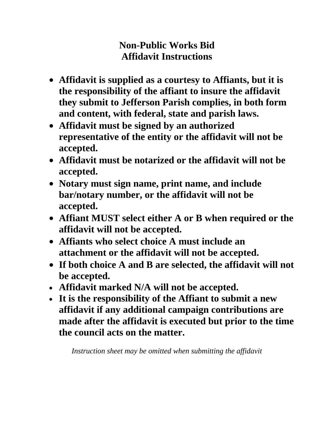# **Non-Public Works Bid Affidavit Instructions**

- **Affidavit is supplied as a courtesy to Affiants, but it is the responsibility of the affiant to insure the affidavit they submit to Jefferson Parish complies, in both form and content, with federal, state and parish laws.**
- **Affidavit must be signed by an authorized representative of the entity or the affidavit will not be accepted.**
- **Affidavit must be notarized or the affidavit will not be accepted.**
- **Notary must sign name, print name, and include bar/notary number, or the affidavit will not be accepted.**
- **Affiant MUST select either A or B when required or the affidavit will not be accepted.**
- **Affiants who select choice A must include an attachment or the affidavit will not be accepted.**
- **If both choice A and B are selected, the affidavit will not be accepted.**
- **Affidavit marked N/A will not be accepted.**
- **It is the responsibility of the Affiant to submit a new affidavit if any additional campaign contributions are made after the affidavit is executed but prior to the time the council acts on the matter.**

*Instruction sheet may be omitted when submitting the affidavit*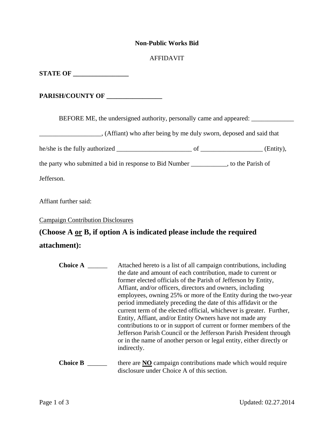### **Non-Public Works Bid**

## AFFIDAVIT

**STATE OF** 

**PARISH/COUNTY OF \_\_\_\_\_\_\_\_\_\_\_\_\_\_\_\_\_** 

BEFORE ME, the undersigned authority, personally came and appeared: \_\_\_\_\_\_\_\_\_\_\_\_

(Affiant) who after being by me duly sworn, deposed and said that

he/she is the fully authorized \_\_\_\_\_\_\_\_\_\_\_\_\_\_\_\_\_\_\_\_\_\_\_ of \_\_\_\_\_\_\_\_\_\_\_\_\_\_\_\_\_\_\_ (Entity),

the party who submitted a bid in response to Bid Number \_\_\_\_\_\_\_\_\_\_\_, to the Parish of

Jefferson.

Affiant further said:

Campaign Contribution Disclosures

# **(Choose A or B, if option A is indicated please include the required**

## **attachment):**

| <b>Choice A</b> | Attached hereto is a list of all campaign contributions, including<br>the date and amount of each contribution, made to current or<br>former elected officials of the Parish of Jefferson by Entity,<br>Affiant, and/or officers, directors and owners, including<br>employees, owning 25% or more of the Entity during the two-year<br>period immediately preceding the date of this affidavit or the<br>current term of the elected official, whichever is greater. Further,<br>Entity, Affiant, and/or Entity Owners have not made any<br>contributions to or in support of current or former members of the<br>Jefferson Parish Council or the Jefferson Parish President through<br>or in the name of another person or legal entity, either directly or<br>indirectly. |
|-----------------|------------------------------------------------------------------------------------------------------------------------------------------------------------------------------------------------------------------------------------------------------------------------------------------------------------------------------------------------------------------------------------------------------------------------------------------------------------------------------------------------------------------------------------------------------------------------------------------------------------------------------------------------------------------------------------------------------------------------------------------------------------------------------|
| <b>Choice B</b> | there are NO campaign contributions made which would require<br>disclosure under Choice A of this section.                                                                                                                                                                                                                                                                                                                                                                                                                                                                                                                                                                                                                                                                   |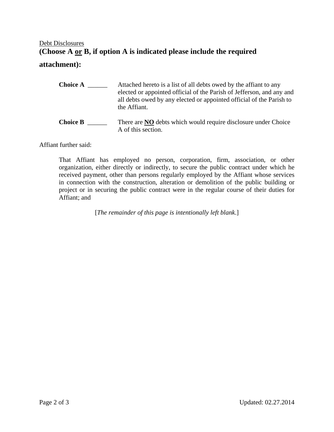# Debt Disclosures **(Choose A or B, if option A is indicated please include the required**

## **attachment):**

| <b>Choice A</b> | Attached hereto is a list of all debts owed by the affiant to any<br>elected or appointed official of the Parish of Jefferson, and any and<br>all debts owed by any elected or appointed official of the Parish to<br>the Affiant. |
|-----------------|------------------------------------------------------------------------------------------------------------------------------------------------------------------------------------------------------------------------------------|
| <b>Choice B</b> | There are <b>NO</b> debts which would require disclosure under Choice<br>A of this section.                                                                                                                                        |

Affiant further said:

That Affiant has employed no person, corporation, firm, association, or other organization, either directly or indirectly, to secure the public contract under which he received payment, other than persons regularly employed by the Affiant whose services in connection with the construction, alteration or demolition of the public building or project or in securing the public contract were in the regular course of their duties for Affiant; and

[*The remainder of this page is intentionally left blank*.]